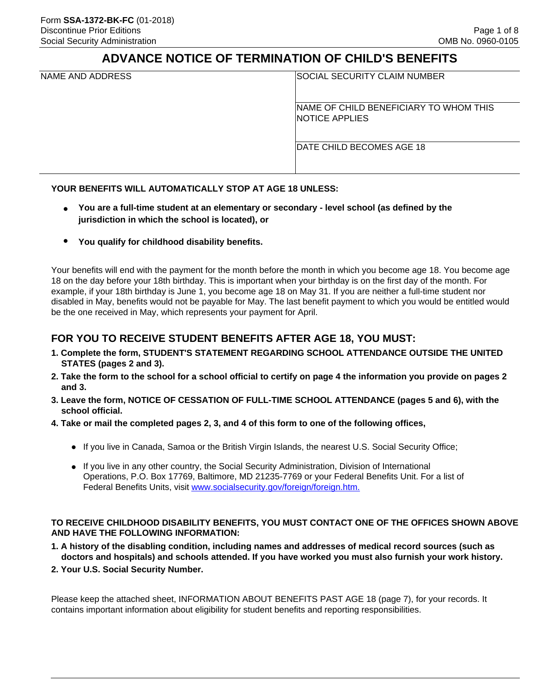# **ADVANCE NOTICE OF TERMINATION OF CHILD'S BENEFITS**

|  | NAME AND ADDRESS |
|--|------------------|
|  |                  |

SOCIAL SECURITY CLAIM NUMBER

NAME OF CHILD BENEFICIARY TO WHOM THIS NOTICE APPLIES

DATE CHILD BECOMES AGE 18

#### **YOUR BENEFITS WILL AUTOMATICALLY STOP AT AGE 18 UNLESS:**

- **You are a full-time student at an elementary or secondary level school (as defined by the jurisdiction in which the school is located), or**
- **You qualify for childhood disability benefits.**

Your benefits will end with the payment for the month before the month in which you become age 18. You become age 18 on the day before your 18th birthday. This is important when your birthday is on the first day of the month. For example, if your 18th birthday is June 1, you become age 18 on May 31. If you are neither a full-time student nor disabled in May, benefits would not be payable for May. The last benefit payment to which you would be entitled would be the one received in May, which represents your payment for April.

## **FOR YOU TO RECEIVE STUDENT BENEFITS AFTER AGE 18, YOU MUST:**

- **1. Complete the form, STUDENT'S STATEMENT REGARDING SCHOOL ATTENDANCE OUTSIDE THE UNITED STATES (pages 2 and 3).**
- **2. Take the form to the school for a school official to certify on page 4 the information you provide on pages 2 and 3.**
- **3. Leave the form, NOTICE OF CESSATION OF FULL-TIME SCHOOL ATTENDANCE (pages 5 and 6), with the school official.**
- **4. Take or mail the completed pages 2, 3, and 4 of this form to one of the following offices,**
	- If you live in Canada, Samoa or the British Virgin Islands, the nearest U.S. Social Security Office;
	- If you live in any other country, the Social Security Administration, Division of International Operations, P.O. Box 17769, Baltimore, MD 21235-7769 or your Federal Benefits Unit. For a list of Federal Benefits Units, visit [www.socialsecurity.gov/foreign/foreign.htm.](www.socialsecurity.gov/foreign/foreign.htm)

#### **TO RECEIVE CHILDHOOD DISABILITY BENEFITS, YOU MUST CONTACT ONE OF THE OFFICES SHOWN ABOVE AND HAVE THE FOLLOWING INFORMATION:**

- **1. A history of the disabling condition, including names and addresses of medical record sources (such as doctors and hospitals) and schools attended. If you have worked you must also furnish your work history.**
- **2. Your U.S. Social Security Number.**

Please keep the attached sheet, INFORMATION ABOUT BENEFITS PAST AGE 18 (page 7), for your records. It contains important information about eligibility for student benefits and reporting responsibilities.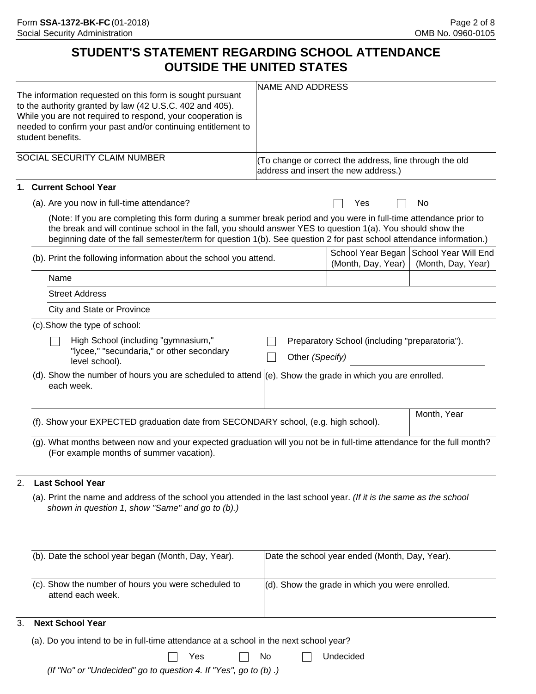# **STUDENT'S STATEMENT REGARDING SCHOOL ATTENDANCE OUTSIDE THE UNITED STATES**

| The information requested on this form is sought pursuant<br>to the authority granted by law (42 U.S.C. 402 and 405).<br>While you are not required to respond, your cooperation is<br>needed to confirm your past and/or continuing entitlement to<br>student benefits.                                                                                | <b>NAME AND ADDRESS</b> |                                                                                                 |                                                                |  |
|---------------------------------------------------------------------------------------------------------------------------------------------------------------------------------------------------------------------------------------------------------------------------------------------------------------------------------------------------------|-------------------------|-------------------------------------------------------------------------------------------------|----------------------------------------------------------------|--|
| SOCIAL SECURITY CLAIM NUMBER                                                                                                                                                                                                                                                                                                                            |                         | (To change or correct the address, line through the old<br>address and insert the new address.) |                                                                |  |
| 1. Current School Year                                                                                                                                                                                                                                                                                                                                  |                         |                                                                                                 |                                                                |  |
| (a). Are you now in full-time attendance?                                                                                                                                                                                                                                                                                                               |                         | Yes                                                                                             | No                                                             |  |
| (Note: If you are completing this form during a summer break period and you were in full-time attendance prior to<br>the break and will continue school in the fall, you should answer YES to question 1(a). You should show the<br>beginning date of the fall semester/term for question 1(b). See question 2 for past school attendance information.) |                         |                                                                                                 |                                                                |  |
| (b). Print the following information about the school you attend.                                                                                                                                                                                                                                                                                       |                         | (Month, Day, Year)                                                                              | School Year Began   School Year Will End<br>(Month, Day, Year) |  |
| Name                                                                                                                                                                                                                                                                                                                                                    |                         |                                                                                                 |                                                                |  |
| <b>Street Address</b>                                                                                                                                                                                                                                                                                                                                   |                         |                                                                                                 |                                                                |  |
| City and State or Province                                                                                                                                                                                                                                                                                                                              |                         |                                                                                                 |                                                                |  |
| (c). Show the type of school:                                                                                                                                                                                                                                                                                                                           |                         |                                                                                                 |                                                                |  |
| High School (including "gymnasium,"<br>Preparatory School (including "preparatoria").<br>"lycee," "secundaria," or other secondary<br>Other (Specify)<br>level school).                                                                                                                                                                                 |                         |                                                                                                 |                                                                |  |
| (d). Show the number of hours you are scheduled to attend $ e\rangle$ . Show the grade in which you are enrolled.<br>each week.                                                                                                                                                                                                                         |                         |                                                                                                 |                                                                |  |
| (f). Show your EXPECTED graduation date from SECONDARY school, (e.g. high school).                                                                                                                                                                                                                                                                      |                         |                                                                                                 | Month, Year                                                    |  |
| (g). What months between now and your expected graduation will you not be in full-time attendance for the full month?<br>(For example months of summer vacation).                                                                                                                                                                                       |                         |                                                                                                 |                                                                |  |
| <b>Last School Year</b><br>2.                                                                                                                                                                                                                                                                                                                           |                         |                                                                                                 |                                                                |  |
| (a). Print the name and address of the school you attended in the last school year. (If it is the same as the school<br>shown in question 1, show "Same" and go to (b).)                                                                                                                                                                                |                         |                                                                                                 |                                                                |  |
| (b). Date the school year began (Month, Day, Year).                                                                                                                                                                                                                                                                                                     |                         | Date the school year ended (Month, Day, Year).                                                  |                                                                |  |
| (c). Show the number of hours you were scheduled to<br>attend each week.                                                                                                                                                                                                                                                                                |                         | (d). Show the grade in which you were enrolled.                                                 |                                                                |  |
| <b>Next School Year</b><br>3.                                                                                                                                                                                                                                                                                                                           |                         |                                                                                                 |                                                                |  |
| (a). Do you intend to be in full-time attendance at a school in the next school year?                                                                                                                                                                                                                                                                   |                         |                                                                                                 |                                                                |  |
| Yes                                                                                                                                                                                                                                                                                                                                                     | No                      | Undecided                                                                                       |                                                                |  |

*(If "No" or "Undecided" go to question 4. If "Yes", go to (b) .)*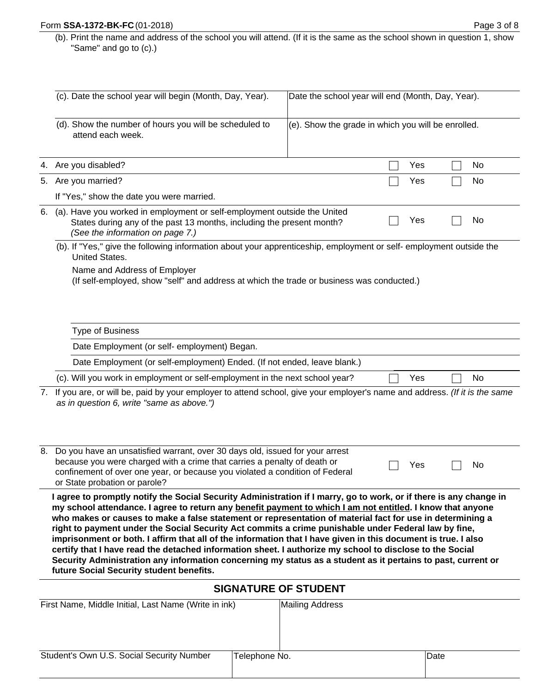(b). Print the name and address of the school you will attend. (If it is the same as the school shown in question 1, show "Same" and go to (c).)

|                                                                                                                                                                                                    | (c). Date the school year will begin (Month, Day, Year).                                                                                                                                                                                                                                                                                                                                                                                                                                                                                                                                                                                                                                                                                                                                                                                       | Date the school year will end (Month, Day, Year).  |     |      |  |  |
|----------------------------------------------------------------------------------------------------------------------------------------------------------------------------------------------------|------------------------------------------------------------------------------------------------------------------------------------------------------------------------------------------------------------------------------------------------------------------------------------------------------------------------------------------------------------------------------------------------------------------------------------------------------------------------------------------------------------------------------------------------------------------------------------------------------------------------------------------------------------------------------------------------------------------------------------------------------------------------------------------------------------------------------------------------|----------------------------------------------------|-----|------|--|--|
|                                                                                                                                                                                                    | (d). Show the number of hours you will be scheduled to<br>attend each week.                                                                                                                                                                                                                                                                                                                                                                                                                                                                                                                                                                                                                                                                                                                                                                    | (e). Show the grade in which you will be enrolled. |     |      |  |  |
|                                                                                                                                                                                                    | 4. Are you disabled?                                                                                                                                                                                                                                                                                                                                                                                                                                                                                                                                                                                                                                                                                                                                                                                                                           |                                                    | Yes | No   |  |  |
| 5.                                                                                                                                                                                                 | Are you married?                                                                                                                                                                                                                                                                                                                                                                                                                                                                                                                                                                                                                                                                                                                                                                                                                               |                                                    | Yes | No   |  |  |
|                                                                                                                                                                                                    | If "Yes," show the date you were married.                                                                                                                                                                                                                                                                                                                                                                                                                                                                                                                                                                                                                                                                                                                                                                                                      |                                                    |     |      |  |  |
| (a). Have you worked in employment or self-employment outside the United<br>6.<br>Yes<br>States during any of the past 13 months, including the present month?<br>(See the information on page 7.) |                                                                                                                                                                                                                                                                                                                                                                                                                                                                                                                                                                                                                                                                                                                                                                                                                                                |                                                    |     | No   |  |  |
|                                                                                                                                                                                                    | (b). If "Yes," give the following information about your apprenticeship, employment or self- employment outside the<br><b>United States.</b><br>Name and Address of Employer<br>(If self-employed, show "self" and address at which the trade or business was conducted.)                                                                                                                                                                                                                                                                                                                                                                                                                                                                                                                                                                      |                                                    |     |      |  |  |
|                                                                                                                                                                                                    | <b>Type of Business</b>                                                                                                                                                                                                                                                                                                                                                                                                                                                                                                                                                                                                                                                                                                                                                                                                                        |                                                    |     |      |  |  |
|                                                                                                                                                                                                    | Date Employment (or self- employment) Began.                                                                                                                                                                                                                                                                                                                                                                                                                                                                                                                                                                                                                                                                                                                                                                                                   |                                                    |     |      |  |  |
|                                                                                                                                                                                                    | Date Employment (or self-employment) Ended. (If not ended, leave blank.)                                                                                                                                                                                                                                                                                                                                                                                                                                                                                                                                                                                                                                                                                                                                                                       |                                                    |     |      |  |  |
|                                                                                                                                                                                                    | (c). Will you work in employment or self-employment in the next school year?                                                                                                                                                                                                                                                                                                                                                                                                                                                                                                                                                                                                                                                                                                                                                                   |                                                    | Yes | No   |  |  |
| 7.                                                                                                                                                                                                 | If you are, or will be, paid by your employer to attend school, give your employer's name and address. (If it is the same<br>as in question 6, write "same as above.")                                                                                                                                                                                                                                                                                                                                                                                                                                                                                                                                                                                                                                                                         |                                                    |     |      |  |  |
| 8.                                                                                                                                                                                                 | Do you have an unsatisfied warrant, over 30 days old, issued for your arrest<br>because you were charged with a crime that carries a penalty of death or<br>confinement of over one year, or because you violated a condition of Federal<br>or State probation or parole?                                                                                                                                                                                                                                                                                                                                                                                                                                                                                                                                                                      |                                                    | Yes | No   |  |  |
|                                                                                                                                                                                                    | I agree to promptly notify the Social Security Administration if I marry, go to work, or if there is any change in<br>my school attendance. I agree to return any benefit payment to which I am not entitled. I know that anyone<br>who makes or causes to make a false statement or representation of material fact for use in determining a<br>right to payment under the Social Security Act commits a crime punishable under Federal law by fine,<br>imprisonment or both. I affirm that all of the information that I have given in this document is true. I also<br>certify that I have read the detached information sheet. I authorize my school to disclose to the Social<br>Security Administration any information concerning my status as a student as it pertains to past, current or<br>future Social Security student benefits. |                                                    |     |      |  |  |
|                                                                                                                                                                                                    | <b>SIGNATURE OF STUDENT</b>                                                                                                                                                                                                                                                                                                                                                                                                                                                                                                                                                                                                                                                                                                                                                                                                                    |                                                    |     |      |  |  |
|                                                                                                                                                                                                    | First Name, Middle Initial, Last Name (Write in ink)                                                                                                                                                                                                                                                                                                                                                                                                                                                                                                                                                                                                                                                                                                                                                                                           | Mailing Address                                    |     |      |  |  |
|                                                                                                                                                                                                    | Student's Own U.S. Social Security Number<br>Telephone No.                                                                                                                                                                                                                                                                                                                                                                                                                                                                                                                                                                                                                                                                                                                                                                                     |                                                    |     | Date |  |  |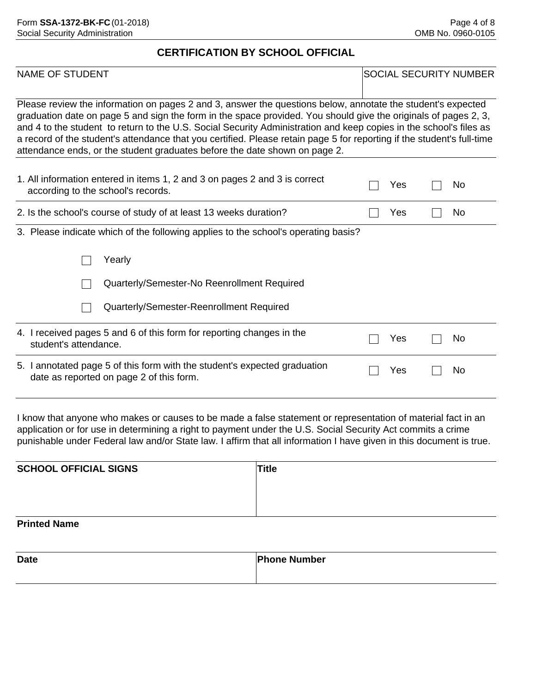#### **CERTIFICATION BY SCHOOL OFFICIAL**

| <b>NAME OF STUDENT</b>                                                                                                                                                                                                                                                                                                                                                                                                                                                                                                                                       |  | <b>SOCIAL SECURITY NUMBER</b> |  |           |
|--------------------------------------------------------------------------------------------------------------------------------------------------------------------------------------------------------------------------------------------------------------------------------------------------------------------------------------------------------------------------------------------------------------------------------------------------------------------------------------------------------------------------------------------------------------|--|-------------------------------|--|-----------|
| Please review the information on pages 2 and 3, answer the questions below, annotate the student's expected<br>graduation date on page 5 and sign the form in the space provided. You should give the originals of pages 2, 3,<br>and 4 to the student to return to the U.S. Social Security Administration and keep copies in the school's files as<br>a record of the student's attendance that you certified. Please retain page 5 for reporting if the student's full-time<br>attendance ends, or the student graduates before the date shown on page 2. |  |                               |  |           |
| 1. All information entered in items 1, 2 and 3 on pages 2 and 3 is correct<br>according to the school's records.                                                                                                                                                                                                                                                                                                                                                                                                                                             |  | Yes                           |  | No        |
| 2. Is the school's course of study of at least 13 weeks duration?                                                                                                                                                                                                                                                                                                                                                                                                                                                                                            |  | Yes                           |  | <b>No</b> |
| 3. Please indicate which of the following applies to the school's operating basis?                                                                                                                                                                                                                                                                                                                                                                                                                                                                           |  |                               |  |           |
| Yearly                                                                                                                                                                                                                                                                                                                                                                                                                                                                                                                                                       |  |                               |  |           |
| Quarterly/Semester-No Reenrollment Required                                                                                                                                                                                                                                                                                                                                                                                                                                                                                                                  |  |                               |  |           |
| Quarterly/Semester-Reenrollment Required                                                                                                                                                                                                                                                                                                                                                                                                                                                                                                                     |  |                               |  |           |
| 4. I received pages 5 and 6 of this form for reporting changes in the<br>student's attendance.                                                                                                                                                                                                                                                                                                                                                                                                                                                               |  | Yes                           |  | No        |
| 5. I annotated page 5 of this form with the student's expected graduation<br>date as reported on page 2 of this form.                                                                                                                                                                                                                                                                                                                                                                                                                                        |  | Yes                           |  | No        |

I know that anyone who makes or causes to be made a false statement or representation of material fact in an application or for use in determining a right to payment under the U.S. Social Security Act commits a crime punishable under Federal law and/or State law. I affirm that all information I have given in this document is true.

| <b>SCHOOL OFFICIAL SIGNS</b> | 'Title |  |
|------------------------------|--------|--|
|                              |        |  |
|                              |        |  |
| <b>Printed Name</b>          |        |  |

| <b>Date</b> | <b>Phone Number</b> |
|-------------|---------------------|
|             |                     |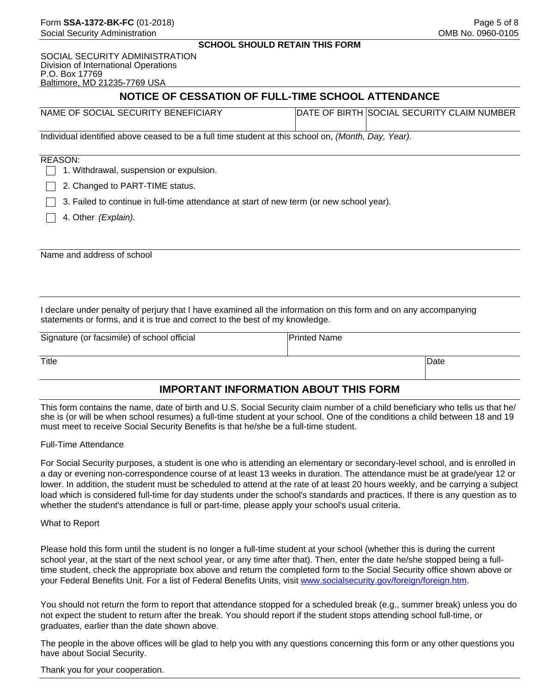SOCIAL SECURITY ADMINISTRATION Division of International Operations P.O. Box 17769 Baltimore, MD 21235-7769 USA

# **NOTICE OF CESSATION OF FULL-TIME SCHOOL ATTENDANCE**

| NAME OF SOCIAL SECURITY BENEFICIARY | DATE OF BIRTH SOCIAL SECURITY CLAIM NUMBER |
|-------------------------------------|--------------------------------------------|
|                                     |                                            |

Individual identified above ceased to be a full time student at this school on, *(Month, Day, Year).*

#### REASON:

 $\Box$  1. Withdrawal, suspension or expulsion.

 $\Box$  2. Changed to PART-TIME status.

 $\Box$  3. Failed to continue in full-time attendance at start of new term (or new school year).

4. Other *(Explain).*

Name and address of school

I declare under penalty of perjury that I have examined all the information on this form and on any accompanying statements or forms, and it is true and correct to the best of my knowledge.

| Signature (or facsimile) of school official | <b>Printed Name</b> |              |
|---------------------------------------------|---------------------|--------------|
|                                             |                     |              |
| Title                                       |                     | <b>IDate</b> |
|                                             |                     |              |

### **IMPORTANT INFORMATION ABOUT THIS FORM**

This form contains the name, date of birth and U.S. Social Security claim number of a child beneficiary who tells us that he/ she is (or will be when school resumes) a full-time student at your school. One of the conditions a child between 18 and 19 must meet to receive Social Security Benefits is that he/she be a full-time student.

#### Full-Time Attendance

For Social Security purposes, a student is one who is attending an elementary or secondary-level school, and is enrolled in a day or evening non-correspondence course of at least 13 weeks in duration. The attendance must be at grade/year 12 or lower. In addition, the student must be scheduled to attend at the rate of at least 20 hours weekly, and be carrying a subject load which is considered full-time for day students under the school's standards and practices. If there is any question as to whether the student's attendance is full or part-time, please apply your school's usual criteria.

What to Report

Please hold this form until the student is no longer a full-time student at your school (whether this is during the current school year, at the start of the next school year, or any time after that). Then, enter the date he/she stopped being a fulltime student, check the appropriate box above and return the completed form to the Social Security office shown above or your Federal Benefits Unit. For a list of Federal Benefits Units, visit <www.socialsecurity.gov/foreign/foreign.htm>.

You should not return the form to report that attendance stopped for a scheduled break (e.g., summer break) unless you do not expect the student to return after the break. You should report if the student stops attending school full-time, or graduates, earlier than the date shown above.

The people in the above offices will be glad to help you with any questions concerning this form or any other questions you have about Social Security.

#### Thank you for your cooperation.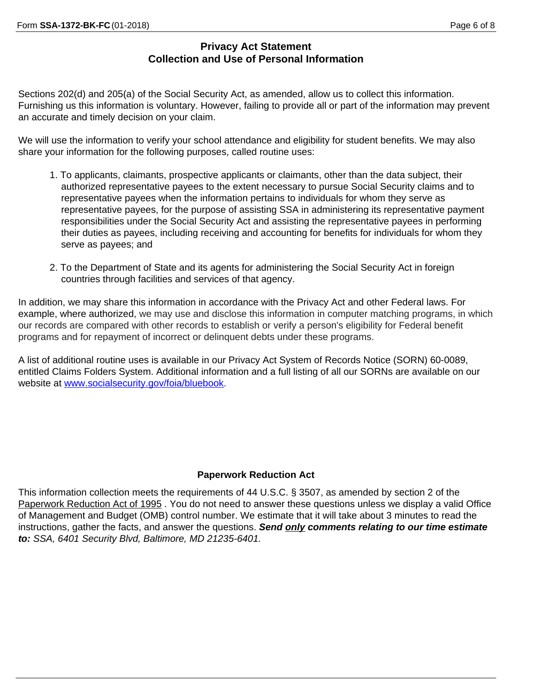## **Privacy Act Statement Collection and Use of Personal Information**

Sections 202(d) and 205(a) of the Social Security Act, as amended, allow us to collect this information. Furnishing us this information is voluntary. However, failing to provide all or part of the information may prevent an accurate and timely decision on your claim.

We will use the information to verify your school attendance and eligibility for student benefits. We may also share your information for the following purposes, called routine uses:

- 1. To applicants, claimants, prospective applicants or claimants, other than the data subject, their authorized representative payees to the extent necessary to pursue Social Security claims and to representative payees when the information pertains to individuals for whom they serve as representative payees, for the purpose of assisting SSA in administering its representative payment responsibilities under the Social Security Act and assisting the representative payees in performing their duties as payees, including receiving and accounting for benefits for individuals for whom they serve as payees; and
- 2. To the Department of State and its agents for administering the Social Security Act in foreign countries through facilities and services of that agency.

In addition, we may share this information in accordance with the Privacy Act and other Federal laws. For example, where authorized, we may use and disclose this information in computer matching programs, in which our records are compared with other records to establish or verify a person's eligibility for Federal benefit programs and for repayment of incorrect or delinquent debts under these programs.

A list of additional routine uses is available in our Privacy Act System of Records Notice (SORN) 60-0089, entitled Claims Folders System. Additional information and a full listing of all our SORNs are available on our website at [www.socialsecurity.gov/foia/bluebook.](www.socialsecurity.gov/foia/bluebook)

## **Paperwork Reduction Act**

This information collection meets the requirements of 44 U.S.C. § 3507, as amended by section 2 of the Paperwork Reduction Act of 1995 . You do not need to answer these questions unless we display a valid Office of Management and Budget (OMB) control number. We estimate that it will take about 3 minutes to read the instructions, gather the facts, and answer the questions. *Send only comments relating to our time estimate to: SSA, 6401 Security Blvd, Baltimore, MD 21235-6401.*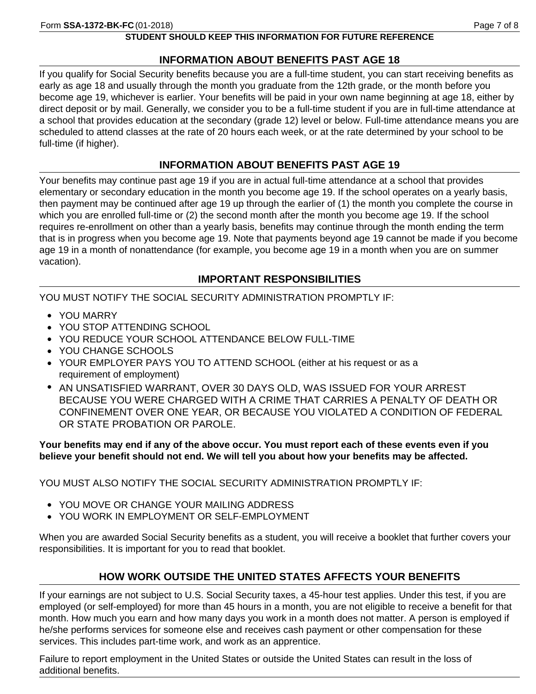# **STUDENT SHOULD KEEP THIS INFORMATION FOR FUTURE REFERENCE**

# **INFORMATION ABOUT BENEFITS PAST AGE 18**

If you qualify for Social Security benefits because you are a full-time student, you can start receiving benefits as early as age 18 and usually through the month you graduate from the 12th grade, or the month before you become age 19, whichever is earlier. Your benefits will be paid in your own name beginning at age 18, either by direct deposit or by mail. Generally, we consider you to be a full-time student if you are in full-time attendance at a school that provides education at the secondary (grade 12) level or below. Full-time attendance means you are scheduled to attend classes at the rate of 20 hours each week, or at the rate determined by your school to be full-time (if higher).

# **INFORMATION ABOUT BENEFITS PAST AGE 19**

Your benefits may continue past age 19 if you are in actual full-time attendance at a school that provides elementary or secondary education in the month you become age 19. If the school operates on a yearly basis, then payment may be continued after age 19 up through the earlier of (1) the month you complete the course in which you are enrolled full-time or (2) the second month after the month you become age 19. If the school requires re-enrollment on other than a yearly basis, benefits may continue through the month ending the term that is in progress when you become age 19. Note that payments beyond age 19 cannot be made if you become age 19 in a month of nonattendance (for example, you become age 19 in a month when you are on summer vacation).

# **IMPORTANT RESPONSIBILITIES**

YOU MUST NOTIFY THE SOCIAL SECURITY ADMINISTRATION PROMPTLY IF:

- **•** YOU MARRY
- **•** YOU STOP ATTENDING SCHOOL
- **•** YOU REDUCE YOUR SCHOOL ATTENDANCE BELOW FULL-TIME
- **•** YOU CHANGE SCHOOLS
- **•** YOUR EMPLOYER PAYS YOU TO ATTEND SCHOOL (either at his request or as a requirement of employment)
- **•** AN UNSATISFIED WARRANT, OVER 30 DAYS OLD, WAS ISSUED FOR YOUR ARREST BECAUSE YOU WERE CHARGED WITH A CRIME THAT CARRIES A PENALTY OF DEATH OR CONFINEMENT OVER ONE YEAR, OR BECAUSE YOU VIOLATED A CONDITION OF FEDERAL OR STATE PROBATION OR PAROLE.

## **Your benefits may end if any of the above occur. You must report each of these events even if you believe your benefit should not end. We will tell you about how your benefits may be affected.**

YOU MUST ALSO NOTIFY THE SOCIAL SECURITY ADMINISTRATION PROMPTLY IF:

- **•** YOU MOVE OR CHANGE YOUR MAILING ADDRESS
- **•** YOU WORK IN EMPLOYMENT OR SELF-EMPLOYMENT

When you are awarded Social Security benefits as a student, you will receive a booklet that further covers your responsibilities. It is important for you to read that booklet.

# **HOW WORK OUTSIDE THE UNITED STATES AFFECTS YOUR BENEFITS**

If your earnings are not subject to U.S. Social Security taxes, a 45-hour test applies. Under this test, if you are employed (or self-employed) for more than 45 hours in a month, you are not eligible to receive a benefit for that month. How much you earn and how many days you work in a month does not matter. A person is employed if he/she performs services for someone else and receives cash payment or other compensation for these services. This includes part-time work, and work as an apprentice.

Failure to report employment in the United States or outside the United States can result in the loss of additional benefits.